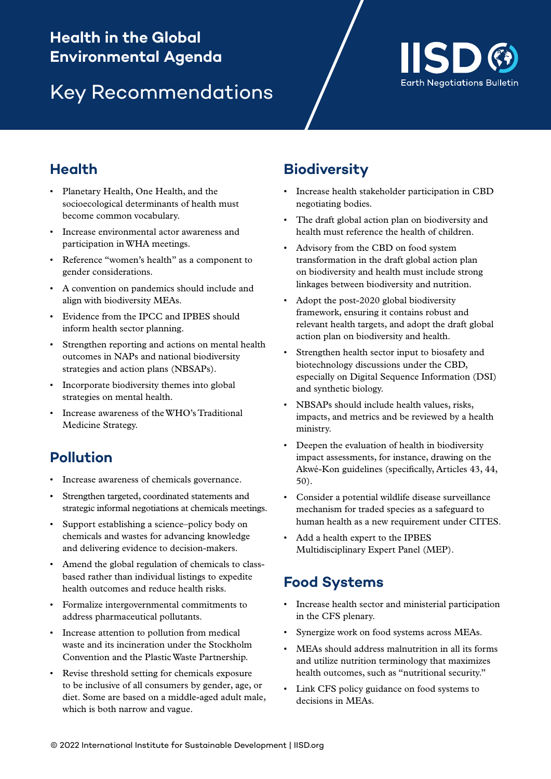## Health in the Global Environmental Agenda: Key recommendations **Health in the Global Environmental Agenda**

# Key Recommendations



#### **Health**

- Planetary Health, One Health, and the socioecological determinants of health must become common vocabulary.
- Increase environmental actor awareness and participation in WHA meetings.
- Reference "women's health" as a component to gender considerations.
- A convention on pandemics should include and align with biodiversity MEAs.
- Evidence from the IPCC and IPBES should inform health sector planning.
- Strengthen reporting and actions on mental health outcomes in NAPs and national biodiversity strategies and action plans (NBSAPs).
- Incorporate biodiversity themes into global strategies on mental health.
- Increase awareness of the WHO's Traditional Medicine Strategy.

## **Pollution**

- Increase awareness of chemicals governance.
- Strengthen targeted, coordinated statements and strategic informal negotiations at chemicals meetings.
- Support establishing a science–policy body on chemicals and wastes for advancing knowledge and delivering evidence to decision-makers.
- Amend the global regulation of chemicals to classbased rather than individual listings to expedite health outcomes and reduce health risks.
- Formalize intergovernmental commitments to address pharmaceutical pollutants.
- Increase attention to pollution from medical waste and its incineration under the Stockholm Convention and the Plastic Waste Partnership.
- Revise threshold setting for chemicals exposure to be inclusive of all consumers by gender, age, or diet. Some are based on a middle-aged adult male, which is both narrow and vague.

### **Biodiversity**

- Increase health stakeholder participation in CBD negotiating bodies.
- The draft global action plan on biodiversity and health must reference the health of children.
- Advisory from the CBD on food system transformation in the draft global action plan on biodiversity and health must include strong linkages between biodiversity and nutrition.
- Adopt the post-2020 global biodiversity framework, ensuring it contains robust and relevant health targets, and adopt the draft global action plan on biodiversity and health.
- Strengthen health sector input to biosafety and biotechnology discussions under the CBD, especially on Digital Sequence Information (DSI) and synthetic biology.
- NBSAPs should include health values, risks, impacts, and metrics and be reviewed by a health ministry.
- Deepen the evaluation of health in biodiversity impact assessments, for instance, drawing on the Akwé-Kon guidelines (specifically, Articles 43, 44, 50).
- Consider a potential wildlife disease surveillance mechanism for traded species as a safeguard to human health as a new requirement under CITES.
- Add a health expert to the IPBES Multidisciplinary Expert Panel (MEP).

#### **Food Systems**

- Increase health sector and ministerial participation in the CFS plenary.
- Synergize work on food systems across MEAs.
- MEAs should address malnutrition in all its forms and utilize nutrition terminology that maximizes health outcomes, such as "nutritional security."
- Link CFS policy guidance on food systems to decisions in MEAs.